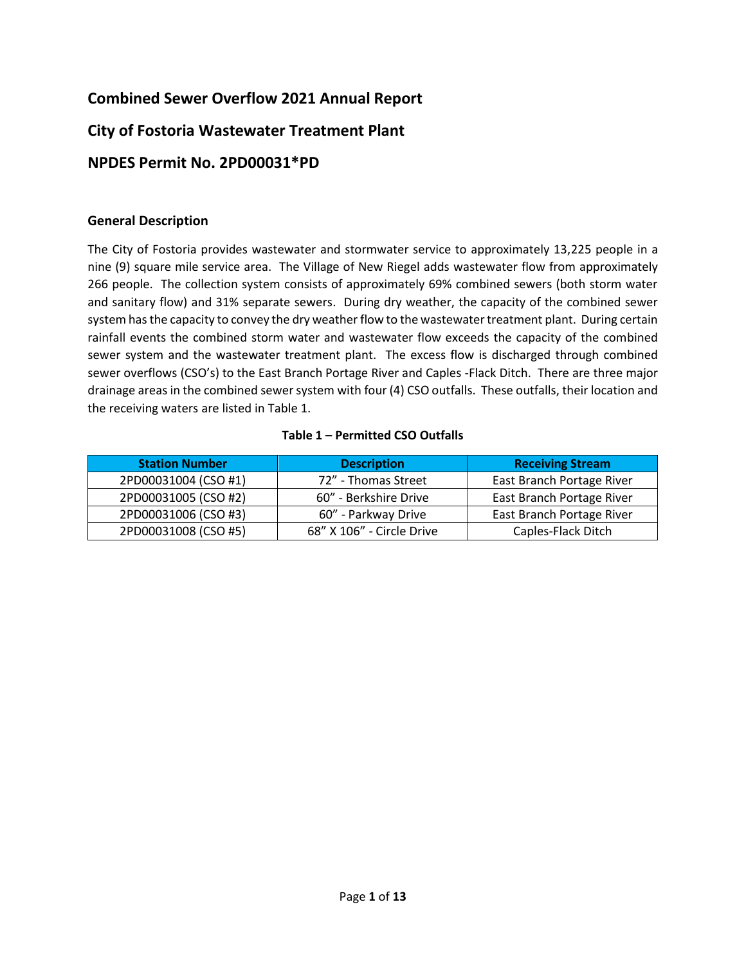# **Combined Sewer Overflow 2021 Annual Report**

## **City of Fostoria Wastewater Treatment Plant**

## **NPDES Permit No. 2PD00031\*PD**

#### **General Description**

The City of Fostoria provides wastewater and stormwater service to approximately 13,225 people in a nine (9) square mile service area. The Village of New Riegel adds wastewater flow from approximately 266 people. The collection system consists of approximately 69% combined sewers (both storm water and sanitary flow) and 31% separate sewers. During dry weather, the capacity of the combined sewer system has the capacity to convey the dry weather flow to the wastewater treatment plant. During certain rainfall events the combined storm water and wastewater flow exceeds the capacity of the combined sewer system and the wastewater treatment plant. The excess flow is discharged through combined sewer overflows (CSO's) to the East Branch Portage River and Caples -Flack Ditch. There are three major drainage areas in the combined sewer system with four (4) CSO outfalls. These outfalls, their location and the receiving waters are listed in Table 1.

#### **Table 1 – Permitted CSO Outfalls**

| <b>Station Number</b> | <b>Description</b>        | <b>Receiving Stream</b>   |
|-----------------------|---------------------------|---------------------------|
| 2PD00031004 (CSO #1)  | 72" - Thomas Street       | East Branch Portage River |
| 2PD00031005 (CSO #2)  | 60" - Berkshire Drive     | East Branch Portage River |
| 2PD00031006 (CSO #3)  | 60" - Parkway Drive       | East Branch Portage River |
| 2PD00031008 (CSO #5)  | 68" X 106" - Circle Drive | Caples-Flack Ditch        |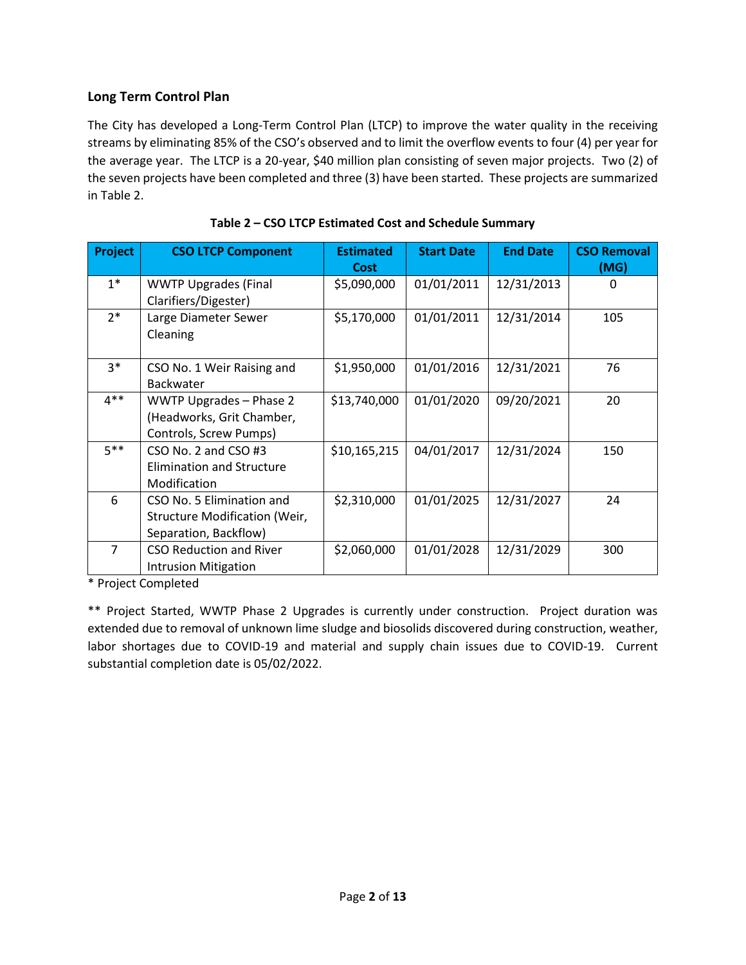### **Long Term Control Plan**

The City has developed a Long-Term Control Plan (LTCP) to improve the water quality in the receiving streams by eliminating 85% of the CSO's observed and to limit the overflow events to four (4) per year for the average year. The LTCP is a 20-year, \$40 million plan consisting of seven major projects. Two (2) of the seven projects have been completed and three (3) have been started. These projects are summarized in Table 2.

| Project        | <b>CSO LTCP Component</b>      | <b>Estimated</b> | <b>Start Date</b> | <b>End Date</b> | <b>CSO Removal</b> |
|----------------|--------------------------------|------------------|-------------------|-----------------|--------------------|
|                |                                | <b>Cost</b>      |                   |                 | (MG)               |
| $1*$           | <b>WWTP Upgrades (Final</b>    | \$5,090,000      | 01/01/2011        | 12/31/2013      | 0                  |
|                | Clarifiers/Digester)           |                  |                   |                 |                    |
| $2*$           | Large Diameter Sewer           | \$5,170,000      | 01/01/2011        | 12/31/2014      | 105                |
|                | Cleaning                       |                  |                   |                 |                    |
|                |                                |                  |                   |                 |                    |
| $3*$           | CSO No. 1 Weir Raising and     | \$1,950,000      | 01/01/2016        | 12/31/2021      | 76                 |
|                | Backwater                      |                  |                   |                 |                    |
| $4***$         | WWTP Upgrades - Phase 2        | \$13,740,000     | 01/01/2020        | 09/20/2021      | 20                 |
|                | (Headworks, Grit Chamber,      |                  |                   |                 |                    |
|                | Controls, Screw Pumps)         |                  |                   |                 |                    |
| $5***$         | CSO No. 2 and CSO #3           | \$10,165,215     | 04/01/2017        | 12/31/2024      | 150                |
|                | Elimination and Structure      |                  |                   |                 |                    |
|                | Modification                   |                  |                   |                 |                    |
| 6              | CSO No. 5 Elimination and      | \$2,310,000      | 01/01/2025        | 12/31/2027      | 24                 |
|                | Structure Modification (Weir,  |                  |                   |                 |                    |
|                | Separation, Backflow)          |                  |                   |                 |                    |
| $\overline{7}$ | <b>CSO Reduction and River</b> | \$2,060,000      | 01/01/2028        | 12/31/2029      | 300                |
|                | <b>Intrusion Mitigation</b>    |                  |                   |                 |                    |
|                | .                              |                  |                   |                 |                    |

|  | Table 2 - CSO LTCP Estimated Cost and Schedule Summary |  |
|--|--------------------------------------------------------|--|
|--|--------------------------------------------------------|--|

\* Project Completed

\*\* Project Started, WWTP Phase 2 Upgrades is currently under construction. Project duration was extended due to removal of unknown lime sludge and biosolids discovered during construction, weather, labor shortages due to COVID-19 and material and supply chain issues due to COVID-19. Current substantial completion date is 05/02/2022.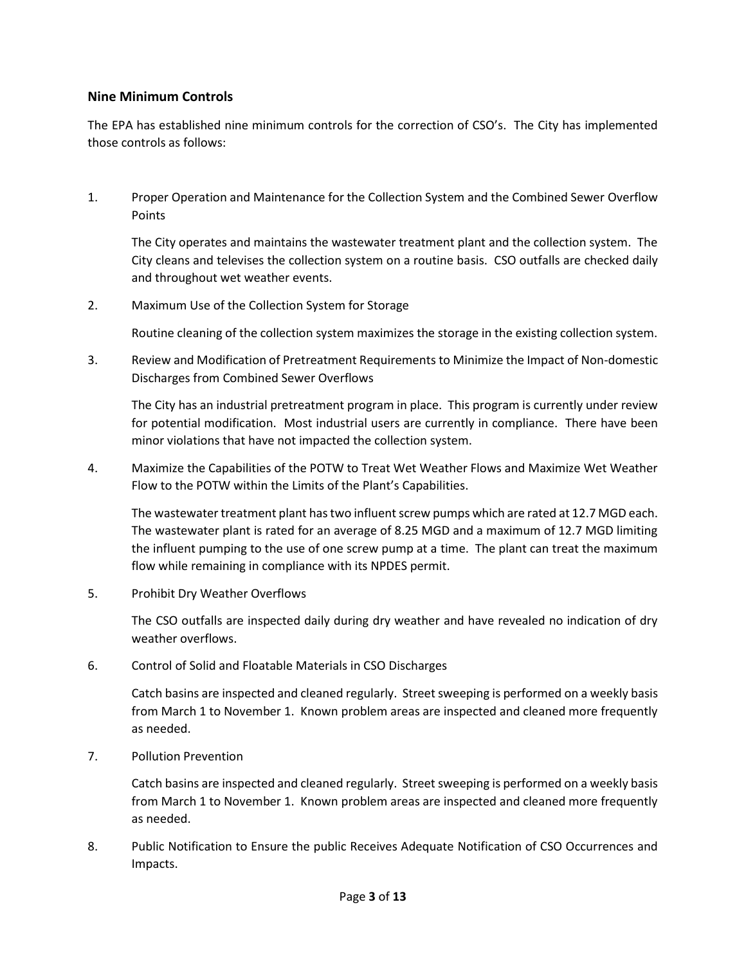#### **Nine Minimum Controls**

The EPA has established nine minimum controls for the correction of CSO's. The City has implemented those controls as follows:

1. Proper Operation and Maintenance for the Collection System and the Combined Sewer Overflow Points

The City operates and maintains the wastewater treatment plant and the collection system. The City cleans and televises the collection system on a routine basis. CSO outfalls are checked daily and throughout wet weather events.

2. Maximum Use of the Collection System for Storage

Routine cleaning of the collection system maximizes the storage in the existing collection system.

3. Review and Modification of Pretreatment Requirements to Minimize the Impact of Non-domestic Discharges from Combined Sewer Overflows

The City has an industrial pretreatment program in place. This program is currently under review for potential modification. Most industrial users are currently in compliance. There have been minor violations that have not impacted the collection system.

4. Maximize the Capabilities of the POTW to Treat Wet Weather Flows and Maximize Wet Weather Flow to the POTW within the Limits of the Plant's Capabilities.

The wastewater treatment plant has two influent screw pumps which are rated at 12.7 MGD each. The wastewater plant is rated for an average of 8.25 MGD and a maximum of 12.7 MGD limiting the influent pumping to the use of one screw pump at a time. The plant can treat the maximum flow while remaining in compliance with its NPDES permit.

5. Prohibit Dry Weather Overflows

The CSO outfalls are inspected daily during dry weather and have revealed no indication of dry weather overflows.

6. Control of Solid and Floatable Materials in CSO Discharges

Catch basins are inspected and cleaned regularly. Street sweeping is performed on a weekly basis from March 1 to November 1. Known problem areas are inspected and cleaned more frequently as needed.

7. Pollution Prevention

Catch basins are inspected and cleaned regularly. Street sweeping is performed on a weekly basis from March 1 to November 1. Known problem areas are inspected and cleaned more frequently as needed.

8. Public Notification to Ensure the public Receives Adequate Notification of CSO Occurrences and Impacts.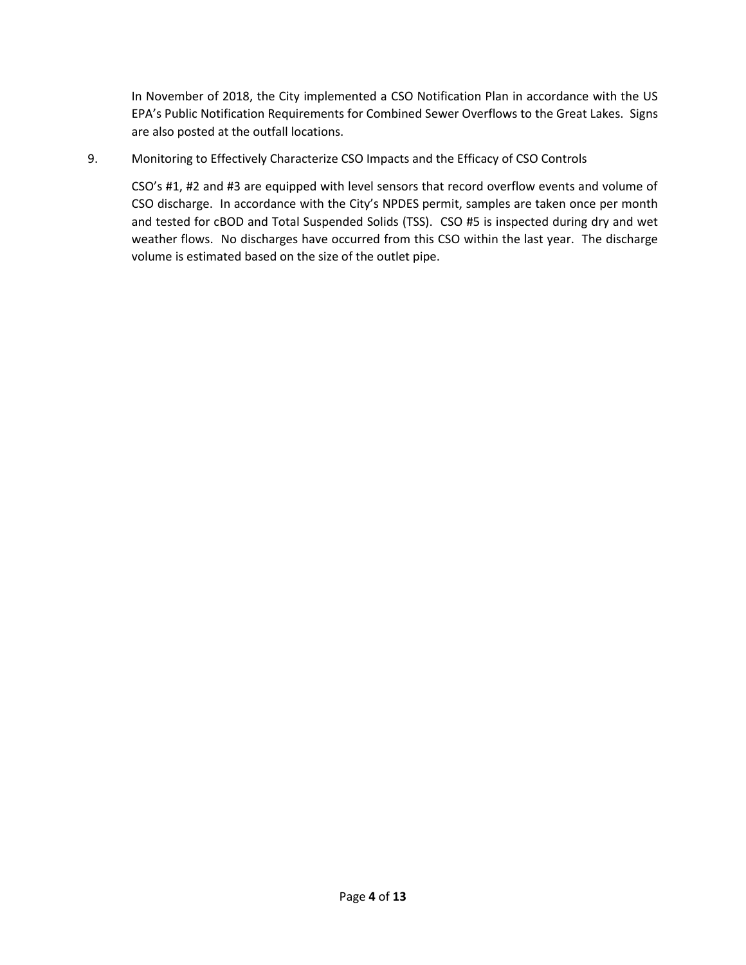In November of 2018, the City implemented a CSO Notification Plan in accordance with the US EPA's Public Notification Requirements for Combined Sewer Overflows to the Great Lakes. Signs are also posted at the outfall locations.

9. Monitoring to Effectively Characterize CSO Impacts and the Efficacy of CSO Controls

CSO's #1, #2 and #3 are equipped with level sensors that record overflow events and volume of CSO discharge. In accordance with the City's NPDES permit, samples are taken once per month and tested for cBOD and Total Suspended Solids (TSS). CSO #5 is inspected during dry and wet weather flows. No discharges have occurred from this CSO within the last year. The discharge volume is estimated based on the size of the outlet pipe.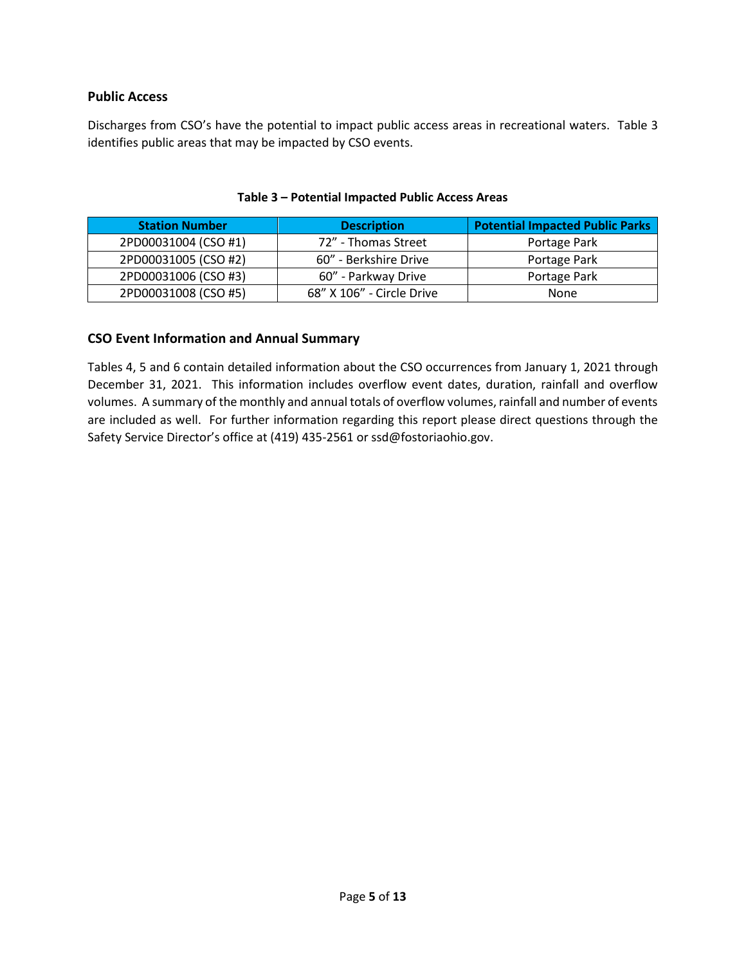#### **Public Access**

Discharges from CSO's have the potential to impact public access areas in recreational waters. Table 3 identifies public areas that may be impacted by CSO events.

| <b>Station Number</b> | <b>Description</b>        | <b>Potential Impacted Public Parks</b> |
|-----------------------|---------------------------|----------------------------------------|
| 2PD00031004 (CSO #1)  | 72" - Thomas Street       | Portage Park                           |
| 2PD00031005 (CSO #2)  | 60" - Berkshire Drive     | Portage Park                           |
| 2PD00031006 (CSO #3)  | 60" - Parkway Drive       | Portage Park                           |
| 2PD00031008 (CSO #5)  | 68" X 106" - Circle Drive | None                                   |

#### **Table 3 – Potential Impacted Public Access Areas**

#### **CSO Event Information and Annual Summary**

Tables 4, 5 and 6 contain detailed information about the CSO occurrences from January 1, 2021 through December 31, 2021. This information includes overflow event dates, duration, rainfall and overflow volumes. A summary of the monthly and annual totals of overflow volumes, rainfall and number of events are included as well. For further information regarding this report please direct questions through the Safety Service Director's office at (419) 435-2561 or ssd@fostoriaohio.gov.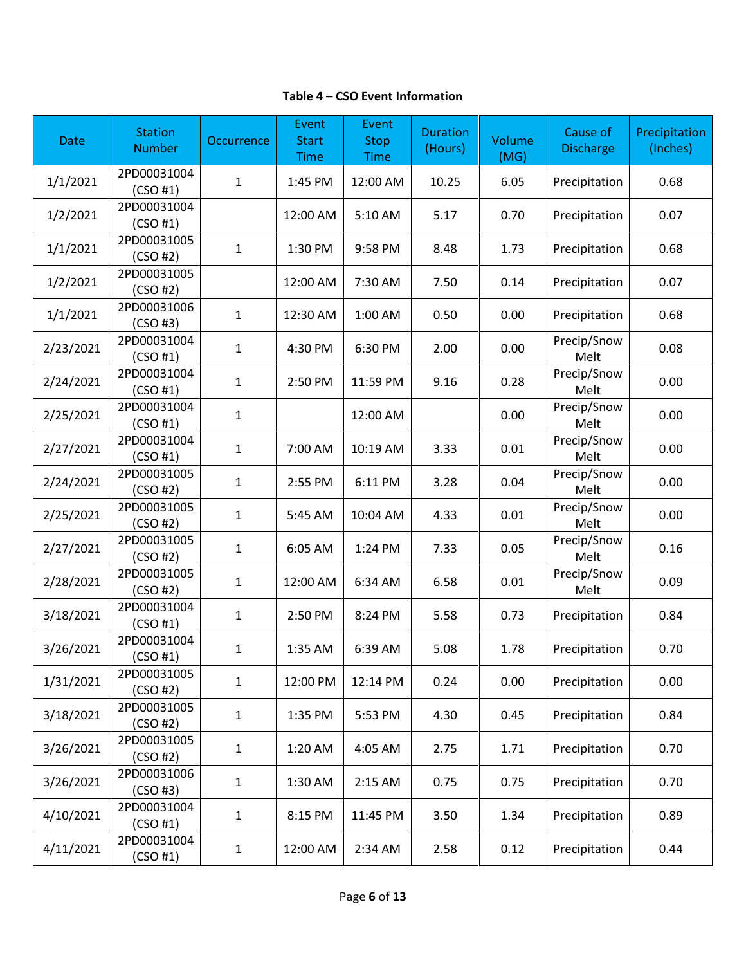#### **Table 4 – CSO Event Information**

| Date      | <b>Station</b><br><b>Number</b> | Occurrence   | Event<br><b>Start</b><br><b>Time</b> | Event<br><b>Stop</b><br><b>Time</b> | <b>Duration</b><br>(Hours) | Volume<br>(MG) | Cause of<br><b>Discharge</b> | Precipitation<br>(Inches) |
|-----------|---------------------------------|--------------|--------------------------------------|-------------------------------------|----------------------------|----------------|------------------------------|---------------------------|
| 1/1/2021  | 2PD00031004<br>(CSO #1)         | 1            | 1:45 PM                              | 12:00 AM                            | 10.25                      | 6.05           | Precipitation                | 0.68                      |
| 1/2/2021  | 2PD00031004<br>(CSO #1)         |              | 12:00 AM                             | 5:10 AM                             | 5.17                       | 0.70           | Precipitation                | 0.07                      |
| 1/1/2021  | 2PD00031005<br>(CSO#2)          | $\mathbf{1}$ | 1:30 PM                              | 9:58 PM                             | 8.48                       | 1.73           | Precipitation                | 0.68                      |
| 1/2/2021  | 2PD00031005<br>(CSO #2)         |              | 12:00 AM                             | 7:30 AM                             | 7.50                       | 0.14           | Precipitation                | 0.07                      |
| 1/1/2021  | 2PD00031006<br>(CSO#3)          | $\mathbf{1}$ | 12:30 AM                             | 1:00 AM                             | 0.50                       | 0.00           | Precipitation                | 0.68                      |
| 2/23/2021 | 2PD00031004<br>(CSO #1)         | $\mathbf{1}$ | 4:30 PM                              | 6:30 PM                             | 2.00                       | 0.00           | Precip/Snow<br>Melt          | 0.08                      |
| 2/24/2021 | 2PD00031004<br>(CSO #1)         | $\mathbf{1}$ | 2:50 PM                              | 11:59 PM                            | 9.16                       | 0.28           | Precip/Snow<br>Melt          | 0.00                      |
| 2/25/2021 | 2PD00031004<br>(CSO #1)         | 1            |                                      | 12:00 AM                            |                            | 0.00           | Precip/Snow<br>Melt          | 0.00                      |
| 2/27/2021 | 2PD00031004<br>(CSO #1)         | $\mathbf{1}$ | 7:00 AM                              | 10:19 AM                            | 3.33                       | 0.01           | Precip/Snow<br>Melt          | 0.00                      |
| 2/24/2021 | 2PD00031005<br>(CSO#2)          | $\mathbf{1}$ | 2:55 PM                              | 6:11 PM                             | 3.28                       | 0.04           | Precip/Snow<br>Melt          | 0.00                      |
| 2/25/2021 | 2PD00031005<br>(CSO#2)          | $\mathbf{1}$ | 5:45 AM                              | 10:04 AM                            | 4.33                       | 0.01           | Precip/Snow<br>Melt          | 0.00                      |
| 2/27/2021 | 2PD00031005<br>(CSO#2)          | $\mathbf{1}$ | 6:05 AM                              | 1:24 PM                             | 7.33                       | 0.05           | Precip/Snow<br>Melt          | 0.16                      |
| 2/28/2021 | 2PD00031005<br>(CSO#2)          | $\mathbf{1}$ | 12:00 AM                             | 6:34 AM                             | 6.58                       | 0.01           | Precip/Snow<br>Melt          | 0.09                      |
| 3/18/2021 | 2PD00031004<br>(CSO #1)         | $\mathbf{1}$ | 2:50 PM                              | 8:24 PM                             | 5.58                       | 0.73           | Precipitation                | 0.84                      |
| 3/26/2021 | 2PD00031004<br>(CSO #1)         | $\mathbf{1}$ | 1:35 AM                              | 6:39 AM                             | 5.08                       | 1.78           | Precipitation                | 0.70                      |
| 1/31/2021 | 2PD00031005<br>(CSO#2)          | $\mathbf{1}$ | 12:00 PM                             | 12:14 PM                            | 0.24                       | 0.00           | Precipitation                | 0.00                      |
| 3/18/2021 | 2PD00031005<br>(CSO #2)         | 1            | 1:35 PM                              | 5:53 PM                             | 4.30                       | 0.45           | Precipitation                | 0.84                      |
| 3/26/2021 | 2PD00031005<br>(CSO#2)          | $\mathbf{1}$ | 1:20 AM                              | 4:05 AM                             | 2.75                       | 1.71           | Precipitation                | 0.70                      |
| 3/26/2021 | 2PD00031006<br>(CSO#3)          | 1            | 1:30 AM                              | 2:15 AM                             | 0.75                       | 0.75           | Precipitation                | 0.70                      |
| 4/10/2021 | 2PD00031004<br>(CSO #1)         | 1            | 8:15 PM                              | 11:45 PM                            | 3.50                       | 1.34           | Precipitation                | 0.89                      |
| 4/11/2021 | 2PD00031004<br>(CSO #1)         | 1            | 12:00 AM                             | 2:34 AM                             | 2.58                       | 0.12           | Precipitation                | 0.44                      |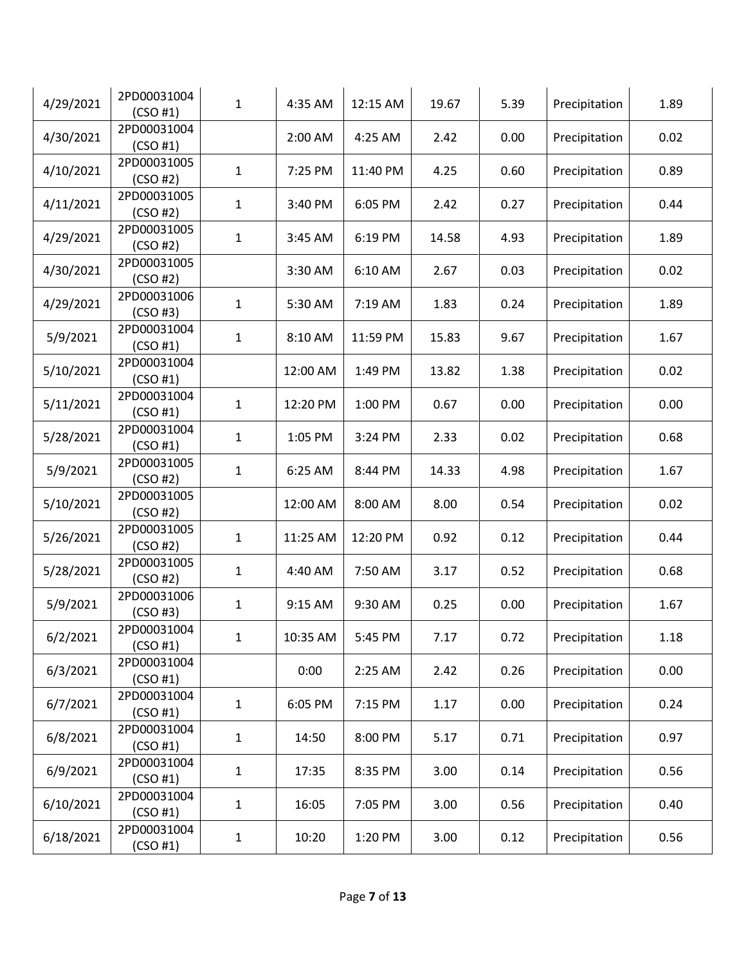| 4/29/2021 | 2PD00031004<br>(CSO #1) | $\mathbf{1}$ | 4:35 AM  | 12:15 AM | 19.67 | 5.39 | Precipitation | 1.89 |
|-----------|-------------------------|--------------|----------|----------|-------|------|---------------|------|
| 4/30/2021 | 2PD00031004<br>(CSO #1) |              | 2:00 AM  | 4:25 AM  | 2.42  | 0.00 | Precipitation | 0.02 |
| 4/10/2021 | 2PD00031005<br>(CSO#2)  | 1            | 7:25 PM  | 11:40 PM | 4.25  | 0.60 | Precipitation | 0.89 |
| 4/11/2021 | 2PD00031005<br>(CSO#2)  | $\mathbf{1}$ | 3:40 PM  | 6:05 PM  | 2.42  | 0.27 | Precipitation | 0.44 |
| 4/29/2021 | 2PD00031005<br>(CSO#2)  | $\mathbf 1$  | 3:45 AM  | 6:19 PM  | 14.58 | 4.93 | Precipitation | 1.89 |
| 4/30/2021 | 2PD00031005<br>(CSO#2)  |              | 3:30 AM  | 6:10 AM  | 2.67  | 0.03 | Precipitation | 0.02 |
| 4/29/2021 | 2PD00031006<br>(CSO#3)  | 1            | 5:30 AM  | 7:19 AM  | 1.83  | 0.24 | Precipitation | 1.89 |
| 5/9/2021  | 2PD00031004<br>(CSO #1) | $\mathbf 1$  | 8:10 AM  | 11:59 PM | 15.83 | 9.67 | Precipitation | 1.67 |
| 5/10/2021 | 2PD00031004<br>(CSO #1) |              | 12:00 AM | 1:49 PM  | 13.82 | 1.38 | Precipitation | 0.02 |
| 5/11/2021 | 2PD00031004<br>(CSO #1) | $\mathbf{1}$ | 12:20 PM | 1:00 PM  | 0.67  | 0.00 | Precipitation | 0.00 |
| 5/28/2021 | 2PD00031004<br>(CSO #1) | 1            | 1:05 PM  | 3:24 PM  | 2.33  | 0.02 | Precipitation | 0.68 |
| 5/9/2021  | 2PD00031005<br>(CSO#2)  | 1            | 6:25 AM  | 8:44 PM  | 14.33 | 4.98 | Precipitation | 1.67 |
| 5/10/2021 | 2PD00031005<br>(CSO#2)  |              | 12:00 AM | 8:00 AM  | 8.00  | 0.54 | Precipitation | 0.02 |
| 5/26/2021 | 2PD00031005<br>(CSO#2)  | $\mathbf 1$  | 11:25 AM | 12:20 PM | 0.92  | 0.12 | Precipitation | 0.44 |
| 5/28/2021 | 2PD00031005<br>(CSO#2)  | 1            | 4:40 AM  | 7:50 AM  | 3.17  | 0.52 | Precipitation | 0.68 |
| 5/9/2021  | 2PD00031006<br>(CSO#3)  | 1            | 9:15 AM  | 9:30 AM  | 0.25  | 0.00 | Precipitation | 1.67 |
| 6/2/2021  | 2PD00031004<br>(CSO#1)  | $\mathbf{1}$ | 10:35 AM | 5:45 PM  | 7.17  | 0.72 | Precipitation | 1.18 |
| 6/3/2021  | 2PD00031004<br>(CSO #1) |              | 0:00     | 2:25 AM  | 2.42  | 0.26 | Precipitation | 0.00 |
| 6/7/2021  | 2PD00031004<br>(CSO #1) | 1            | 6:05 PM  | 7:15 PM  | 1.17  | 0.00 | Precipitation | 0.24 |
| 6/8/2021  | 2PD00031004<br>(CSO #1) | 1            | 14:50    | 8:00 PM  | 5.17  | 0.71 | Precipitation | 0.97 |
| 6/9/2021  | 2PD00031004<br>(CSO #1) | 1            | 17:35    | 8:35 PM  | 3.00  | 0.14 | Precipitation | 0.56 |
| 6/10/2021 | 2PD00031004<br>(CSO #1) | 1            | 16:05    | 7:05 PM  | 3.00  | 0.56 | Precipitation | 0.40 |
| 6/18/2021 | 2PD00031004<br>(CSO #1) | 1            | 10:20    | 1:20 PM  | 3.00  | 0.12 | Precipitation | 0.56 |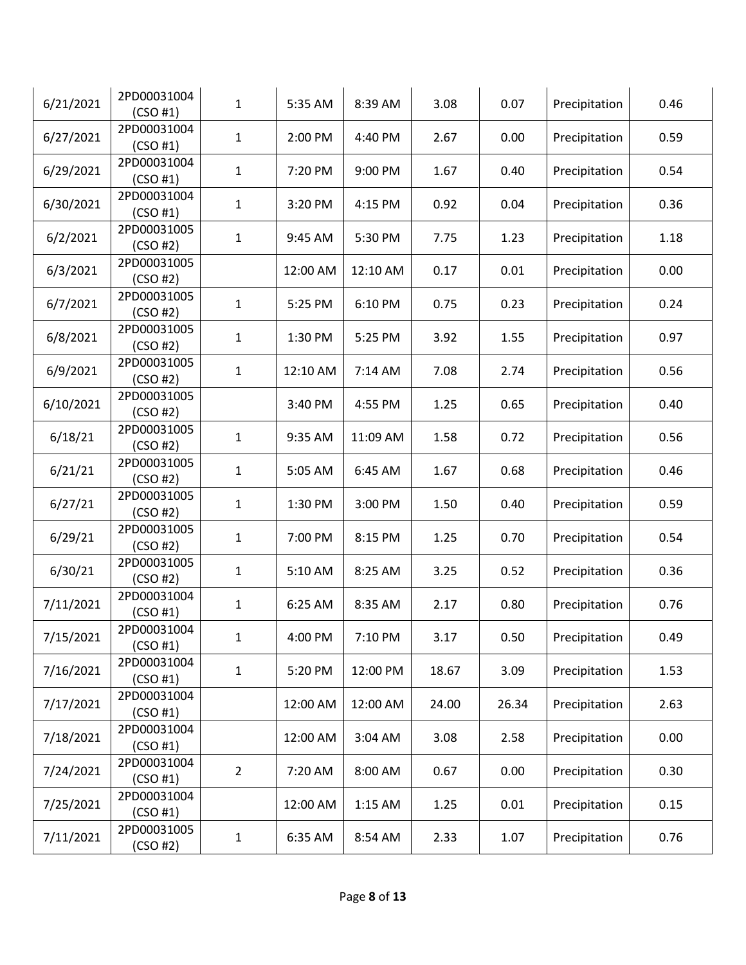| 6/21/2021 | 2PD00031004<br>(CSO #1) | $\mathbf{1}$   | 5:35 AM  | 8:39 AM  | 3.08  | 0.07  | Precipitation | 0.46 |
|-----------|-------------------------|----------------|----------|----------|-------|-------|---------------|------|
| 6/27/2021 | 2PD00031004<br>(CSO #1) | $\mathbf{1}$   | 2:00 PM  | 4:40 PM  | 2.67  | 0.00  | Precipitation | 0.59 |
| 6/29/2021 | 2PD00031004<br>(CSO #1) | 1              | 7:20 PM  | 9:00 PM  | 1.67  | 0.40  | Precipitation | 0.54 |
| 6/30/2021 | 2PD00031004<br>(CSO #1) | 1              | 3:20 PM  | 4:15 PM  | 0.92  | 0.04  | Precipitation | 0.36 |
| 6/2/2021  | 2PD00031005<br>(CSO#2)  | $\mathbf{1}$   | 9:45 AM  | 5:30 PM  | 7.75  | 1.23  | Precipitation | 1.18 |
| 6/3/2021  | 2PD00031005<br>(CSO#2)  |                | 12:00 AM | 12:10 AM | 0.17  | 0.01  | Precipitation | 0.00 |
| 6/7/2021  | 2PD00031005<br>(CSO#2)  | $\mathbf{1}$   | 5:25 PM  | 6:10 PM  | 0.75  | 0.23  | Precipitation | 0.24 |
| 6/8/2021  | 2PD00031005<br>(CSO#2)  | 1              | 1:30 PM  | 5:25 PM  | 3.92  | 1.55  | Precipitation | 0.97 |
| 6/9/2021  | 2PD00031005<br>(CSO#2)  | $\mathbf{1}$   | 12:10 AM | 7:14 AM  | 7.08  | 2.74  | Precipitation | 0.56 |
| 6/10/2021 | 2PD00031005<br>(CSO#2)  |                | 3:40 PM  | 4:55 PM  | 1.25  | 0.65  | Precipitation | 0.40 |
| 6/18/21   | 2PD00031005<br>(CSO#2)  | $\mathbf{1}$   | 9:35 AM  | 11:09 AM | 1.58  | 0.72  | Precipitation | 0.56 |
| 6/21/21   | 2PD00031005<br>(CSO#2)  | 1              | 5:05 AM  | 6:45 AM  | 1.67  | 0.68  | Precipitation | 0.46 |
| 6/27/21   | 2PD00031005<br>(CSO#2)  | 1              | 1:30 PM  | 3:00 PM  | 1.50  | 0.40  | Precipitation | 0.59 |
| 6/29/21   | 2PD00031005<br>(CSO#2)  | $\mathbf{1}$   | 7:00 PM  | 8:15 PM  | 1.25  | 0.70  | Precipitation | 0.54 |
| 6/30/21   | 2PD00031005<br>(CSO#2)  | $\mathbf{1}$   | 5:10 AM  | 8:25 AM  | 3.25  | 0.52  | Precipitation | 0.36 |
| 7/11/2021 | 2PD00031004<br>(CSO #1) | $\mathbf{1}$   | 6:25 AM  | 8:35 AM  | 2.17  | 0.80  | Precipitation | 0.76 |
| 7/15/2021 | 2PD00031004<br>(CSO #1) | 1              | 4:00 PM  | 7:10 PM  | 3.17  | 0.50  | Precipitation | 0.49 |
| 7/16/2021 | 2PD00031004<br>(CSO #1) | $\mathbf 1$    | 5:20 PM  | 12:00 PM | 18.67 | 3.09  | Precipitation | 1.53 |
| 7/17/2021 | 2PD00031004<br>(CSO #1) |                | 12:00 AM | 12:00 AM | 24.00 | 26.34 | Precipitation | 2.63 |
| 7/18/2021 | 2PD00031004<br>(CSO #1) |                | 12:00 AM | 3:04 AM  | 3.08  | 2.58  | Precipitation | 0.00 |
| 7/24/2021 | 2PD00031004<br>(CSO #1) | $\overline{2}$ | 7:20 AM  | 8:00 AM  | 0.67  | 0.00  | Precipitation | 0.30 |
| 7/25/2021 | 2PD00031004<br>(CSO #1) |                | 12:00 AM | 1:15 AM  | 1.25  | 0.01  | Precipitation | 0.15 |
| 7/11/2021 | 2PD00031005<br>(CSO#2)  | 1              | 6:35 AM  | 8:54 AM  | 2.33  | 1.07  | Precipitation | 0.76 |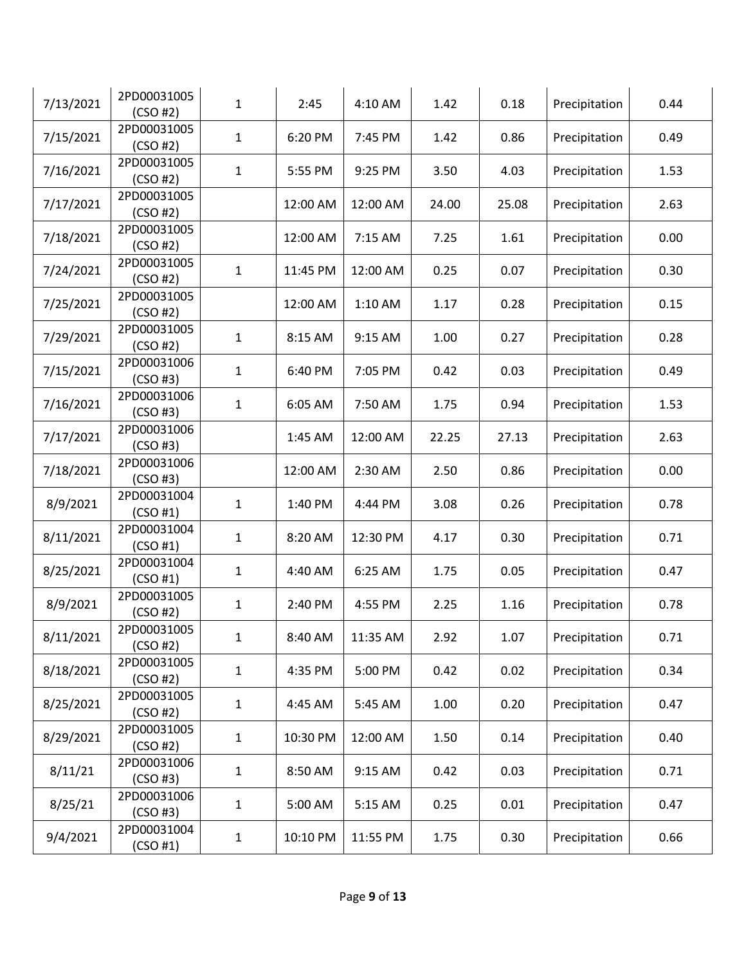| 7/13/2021 | 2PD00031005<br>(CSO#2)  | $\mathbf{1}$ | 2:45     | 4:10 AM  | 1.42  | 0.18  | Precipitation | 0.44 |
|-----------|-------------------------|--------------|----------|----------|-------|-------|---------------|------|
| 7/15/2021 | 2PD00031005<br>(CSO#2)  | $\mathbf{1}$ | 6:20 PM  | 7:45 PM  | 1.42  | 0.86  | Precipitation | 0.49 |
| 7/16/2021 | 2PD00031005<br>(CSO#2)  | 1            | 5:55 PM  | 9:25 PM  | 3.50  | 4.03  | Precipitation | 1.53 |
| 7/17/2021 | 2PD00031005<br>(CSO#2)  |              | 12:00 AM | 12:00 AM | 24.00 | 25.08 | Precipitation | 2.63 |
| 7/18/2021 | 2PD00031005<br>(CSO#2)  |              | 12:00 AM | 7:15 AM  | 7.25  | 1.61  | Precipitation | 0.00 |
| 7/24/2021 | 2PD00031005<br>(CSO#2)  | $\mathbf{1}$ | 11:45 PM | 12:00 AM | 0.25  | 0.07  | Precipitation | 0.30 |
| 7/25/2021 | 2PD00031005<br>(CSO#2)  |              | 12:00 AM | 1:10 AM  | 1.17  | 0.28  | Precipitation | 0.15 |
| 7/29/2021 | 2PD00031005<br>(CSO#2)  | $\mathbf{1}$ | 8:15 AM  | 9:15 AM  | 1.00  | 0.27  | Precipitation | 0.28 |
| 7/15/2021 | 2PD00031006<br>(CSO#3)  | $\mathbf{1}$ | 6:40 PM  | 7:05 PM  | 0.42  | 0.03  | Precipitation | 0.49 |
| 7/16/2021 | 2PD00031006<br>(CSO#3)  | 1            | 6:05 AM  | 7:50 AM  | 1.75  | 0.94  | Precipitation | 1.53 |
| 7/17/2021 | 2PD00031006<br>(CSO#3)  |              | 1:45 AM  | 12:00 AM | 22.25 | 27.13 | Precipitation | 2.63 |
| 7/18/2021 | 2PD00031006<br>(CSO#3)  |              | 12:00 AM | 2:30 AM  | 2.50  | 0.86  | Precipitation | 0.00 |
| 8/9/2021  | 2PD00031004<br>(CSO #1) | $\mathbf{1}$ | 1:40 PM  | 4:44 PM  | 3.08  | 0.26  | Precipitation | 0.78 |
| 8/11/2021 | 2PD00031004<br>(CSO #1) | $\mathbf{1}$ | 8:20 AM  | 12:30 PM | 4.17  | 0.30  | Precipitation | 0.71 |
| 8/25/2021 | 2PD00031004<br>(CSO #1) | $\mathbf{1}$ | 4:40 AM  | 6:25 AM  | 1.75  | 0.05  | Precipitation | 0.47 |
| 8/9/2021  | 2PD00031005<br>(CSO #2) | $\mathbf{1}$ | 2:40 PM  | 4:55 PM  | 2.25  | 1.16  | Precipitation | 0.78 |
| 8/11/2021 | 2PD00031005<br>(CSO#2)  | 1            | 8:40 AM  | 11:35 AM | 2.92  | 1.07  | Precipitation | 0.71 |
| 8/18/2021 | 2PD00031005<br>(CSO#2)  | $\mathbf 1$  | 4:35 PM  | 5:00 PM  | 0.42  | 0.02  | Precipitation | 0.34 |
| 8/25/2021 | 2PD00031005<br>(CSO#2)  | $\mathbf{1}$ | 4:45 AM  | 5:45 AM  | 1.00  | 0.20  | Precipitation | 0.47 |
| 8/29/2021 | 2PD00031005<br>(CSO#2)  | $\mathbf 1$  | 10:30 PM | 12:00 AM | 1.50  | 0.14  | Precipitation | 0.40 |
| 8/11/21   | 2PD00031006<br>(CSO#3)  | $\mathbf{1}$ | 8:50 AM  | 9:15 AM  | 0.42  | 0.03  | Precipitation | 0.71 |
| 8/25/21   | 2PD00031006<br>(CSO#3)  | $\mathbf 1$  | 5:00 AM  | 5:15 AM  | 0.25  | 0.01  | Precipitation | 0.47 |
| 9/4/2021  | 2PD00031004<br>(CSO #1) | $\mathbf{1}$ | 10:10 PM | 11:55 PM | 1.75  | 0.30  | Precipitation | 0.66 |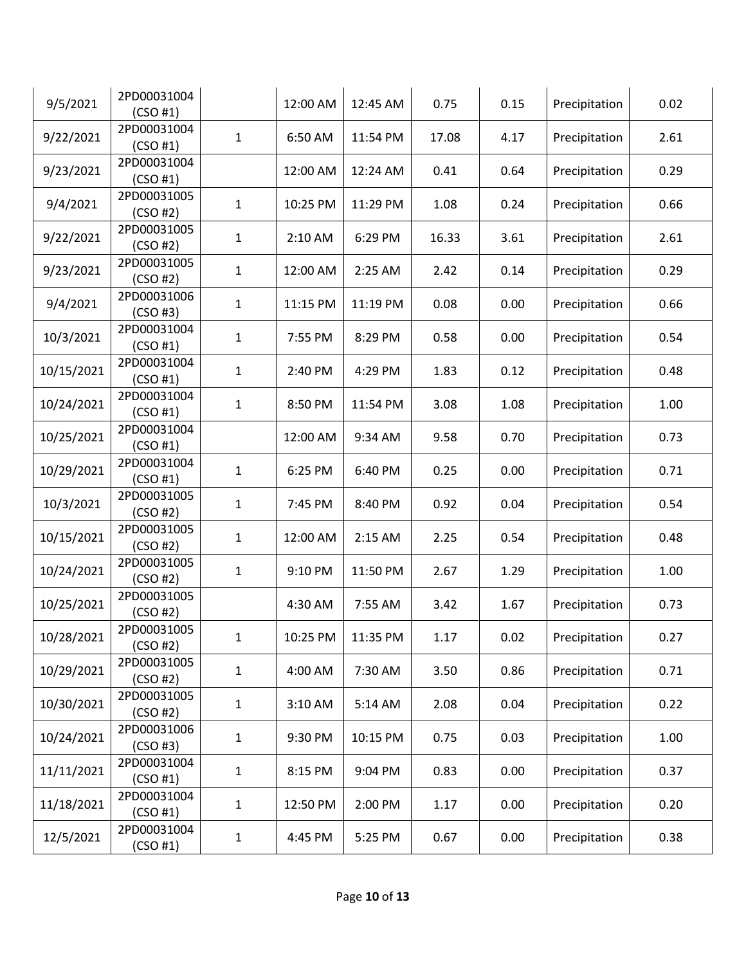| 9/5/2021   | 2PD00031004<br>(CSO #1) |              | 12:00 AM | 12:45 AM | 0.75  | 0.15 | Precipitation | 0.02 |
|------------|-------------------------|--------------|----------|----------|-------|------|---------------|------|
| 9/22/2021  | 2PD00031004<br>(CSO #1) | $\mathbf{1}$ | 6:50 AM  | 11:54 PM | 17.08 | 4.17 | Precipitation | 2.61 |
| 9/23/2021  | 2PD00031004<br>(CSO #1) |              | 12:00 AM | 12:24 AM | 0.41  | 0.64 | Precipitation | 0.29 |
| 9/4/2021   | 2PD00031005<br>(CSO#2)  | $\mathbf{1}$ | 10:25 PM | 11:29 PM | 1.08  | 0.24 | Precipitation | 0.66 |
| 9/22/2021  | 2PD00031005<br>(CSO#2)  | $\mathbf{1}$ | 2:10 AM  | 6:29 PM  | 16.33 | 3.61 | Precipitation | 2.61 |
| 9/23/2021  | 2PD00031005<br>(CSO#2)  | $\mathbf{1}$ | 12:00 AM | 2:25 AM  | 2.42  | 0.14 | Precipitation | 0.29 |
| 9/4/2021   | 2PD00031006<br>(CSO#3)  | 1            | 11:15 PM | 11:19 PM | 0.08  | 0.00 | Precipitation | 0.66 |
| 10/3/2021  | 2PD00031004<br>(CSO #1) | 1            | 7:55 PM  | 8:29 PM  | 0.58  | 0.00 | Precipitation | 0.54 |
| 10/15/2021 | 2PD00031004<br>(CSO #1) | $\mathbf{1}$ | 2:40 PM  | 4:29 PM  | 1.83  | 0.12 | Precipitation | 0.48 |
| 10/24/2021 | 2PD00031004<br>(CSO #1) | $\mathbf{1}$ | 8:50 PM  | 11:54 PM | 3.08  | 1.08 | Precipitation | 1.00 |
| 10/25/2021 | 2PD00031004<br>(CSO #1) |              | 12:00 AM | 9:34 AM  | 9.58  | 0.70 | Precipitation | 0.73 |
| 10/29/2021 | 2PD00031004<br>(CSO #1) | 1            | 6:25 PM  | 6:40 PM  | 0.25  | 0.00 | Precipitation | 0.71 |
| 10/3/2021  | 2PD00031005<br>(CSO#2)  | 1            | 7:45 PM  | 8:40 PM  | 0.92  | 0.04 | Precipitation | 0.54 |
| 10/15/2021 | 2PD00031005<br>(CSO#2)  | $\mathbf{1}$ | 12:00 AM | 2:15 AM  | 2.25  | 0.54 | Precipitation | 0.48 |
| 10/24/2021 | 2PD00031005<br>(CSO#2)  | 1            | 9:10 PM  | 11:50 PM | 2.67  | 1.29 | Precipitation | 1.00 |
| 10/25/2021 | 2PD00031005<br>(CSO#2)  |              | 4:30 AM  | 7:55 AM  | 3.42  | 1.67 | Precipitation | 0.73 |
| 10/28/2021 | 2PD00031005<br>(CSO#2)  | 1            | 10:25 PM | 11:35 PM | 1.17  | 0.02 | Precipitation | 0.27 |
| 10/29/2021 | 2PD00031005<br>(CSO#2)  | $\mathbf{1}$ | 4:00 AM  | 7:30 AM  | 3.50  | 0.86 | Precipitation | 0.71 |
| 10/30/2021 | 2PD00031005<br>(CSO#2)  | 1            | 3:10 AM  | 5:14 AM  | 2.08  | 0.04 | Precipitation | 0.22 |
| 10/24/2021 | 2PD00031006<br>(CSO#3)  | 1            | 9:30 PM  | 10:15 PM | 0.75  | 0.03 | Precipitation | 1.00 |
| 11/11/2021 | 2PD00031004<br>(CSO #1) | 1            | 8:15 PM  | 9:04 PM  | 0.83  | 0.00 | Precipitation | 0.37 |
| 11/18/2021 | 2PD00031004<br>(CSO#1)  | 1            | 12:50 PM | 2:00 PM  | 1.17  | 0.00 | Precipitation | 0.20 |
| 12/5/2021  | 2PD00031004<br>(CSO #1) | 1            | 4:45 PM  | 5:25 PM  | 0.67  | 0.00 | Precipitation | 0.38 |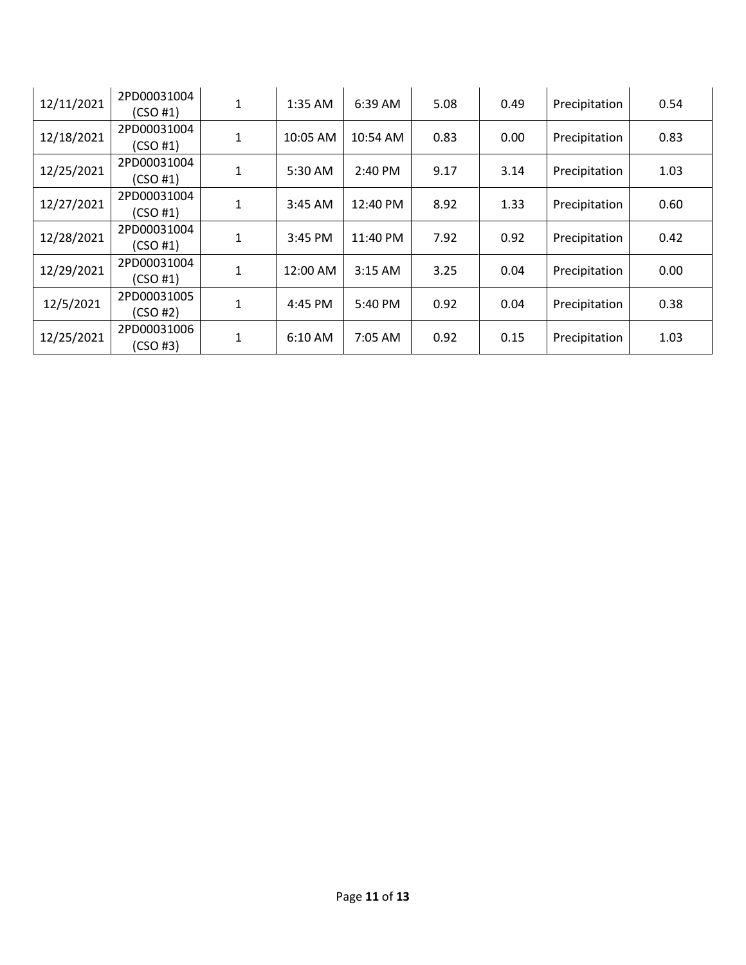| 12/11/2021 | 2PD00031004<br>(CSO#1) | 1            | 1:35 AM   | 6:39 AM   | 5.08 | 0.49 | Precipitation | 0.54 |
|------------|------------------------|--------------|-----------|-----------|------|------|---------------|------|
| 12/18/2021 | 2PD00031004<br>(CSO#1) | $\mathbf{1}$ | 10:05 AM  | 10:54 AM  | 0.83 | 0.00 | Precipitation | 0.83 |
| 12/25/2021 | 2PD00031004<br>(CSO#1) | 1            | 5:30 AM   | 2:40 PM   | 9.17 | 3.14 | Precipitation | 1.03 |
| 12/27/2021 | 2PD00031004<br>(CSO#1) | 1            | $3:45$ AM | 12:40 PM  | 8.92 | 1.33 | Precipitation | 0.60 |
| 12/28/2021 | 2PD00031004<br>(CSO#1) | $\mathbf{1}$ | 3:45 PM   | 11:40 PM  | 7.92 | 0.92 | Precipitation | 0.42 |
| 12/29/2021 | 2PD00031004<br>(CSO#1) | 1            | 12:00 AM  | $3:15$ AM | 3.25 | 0.04 | Precipitation | 0.00 |
| 12/5/2021  | 2PD00031005<br>(CSO#2) | 1            | 4:45 PM   | 5:40 PM   | 0.92 | 0.04 | Precipitation | 0.38 |
| 12/25/2021 | 2PD00031006<br>(CSO#3) | $\mathbf{1}$ | 6:10 AM   | 7:05 AM   | 0.92 | 0.15 | Precipitation | 1.03 |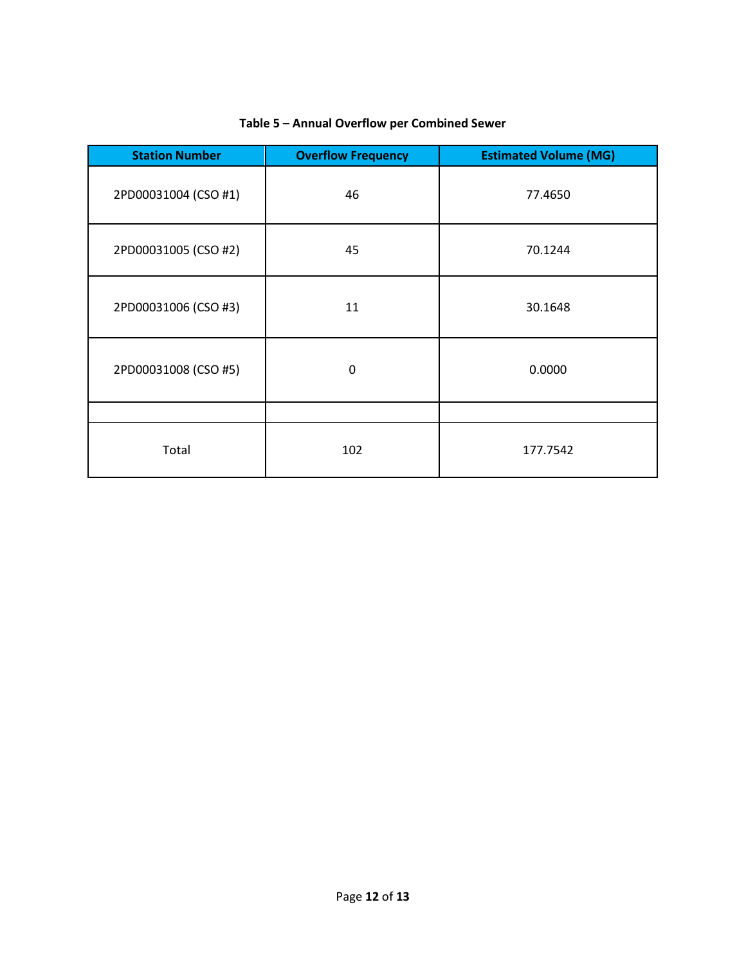| <b>Station Number</b> | <b>Overflow Frequency</b> | <b>Estimated Volume (MG)</b> |
|-----------------------|---------------------------|------------------------------|
| 2PD00031004 (CSO #1)  | 46                        | 77.4650                      |
| 2PD00031005 (CSO #2)  | 45                        | 70.1244                      |
| 2PD00031006 (CSO #3)  | 11                        | 30.1648                      |
| 2PD00031008 (CSO #5)  | $\mathbf 0$               | 0.0000                       |
|                       |                           |                              |
| Total                 | 102                       | 177.7542                     |

## **Table 5 – Annual Overflow per Combined Sewer**